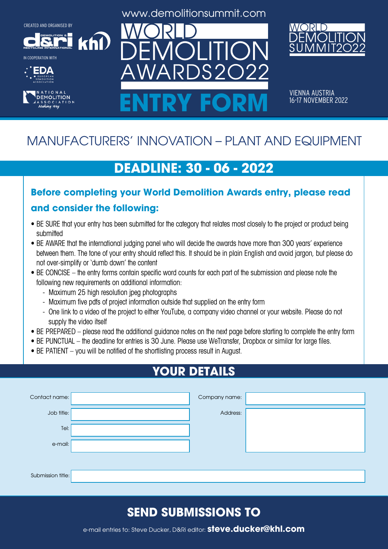**DEMOLITION &**

khl



IN COOPERATION WITH





www.demolitionsummit.com



VIENNA AUSTRIA<br>16-17 NOVEMBER 2022 ENTRY FORM **16-17 NOVEMBER 2022** 

# MANUFACTURERS' INNOVATION – PLANT AND EQUIPMENT

# **DEADLINE: 30 - 06 - 2022**

#### **Before completing your World Demolition Awards entry, please read and consider the following:**

- BE SURE that your entry has been submitted for the category that relates most closely to the project or product being submitted
- BE AWARE that the international judging panel who will decide the awards have more than 300 years' experience between them. The tone of your entry should reflect this. It should be in plain English and avoid jargon, but please do not over-simplify or 'dumb down' the content
- BE CONCISE the entry forms contain specific word counts for each part of the submission and please note the following new requirements on additional information:
	- Maximum 25 high resolution jpeg photographs
	- Maximum five pdfs of project information outside that supplied on the entry form
	- One link to a video of the project to either YouTube, a company video channel or your website. Please do not supply the video itself
- BE PREPARED please read the additional guidance notes on the next page before starting to complete the entry form
- BE PUNCTUAL the deadline for entries is 30 June. Please use WeTransfer, Dropbox or similar for large files.
- BE PATIENT you will be notified of the shortlisting process result in August.

# **YOUR DETAILS**

| Contact name:     | Company name: |  |
|-------------------|---------------|--|
| Job title:        | Address:      |  |
| Tel:              |               |  |
| e-mail:           |               |  |
|                   |               |  |
| Submission title: |               |  |

# **SEND SUBMISSIONS TO**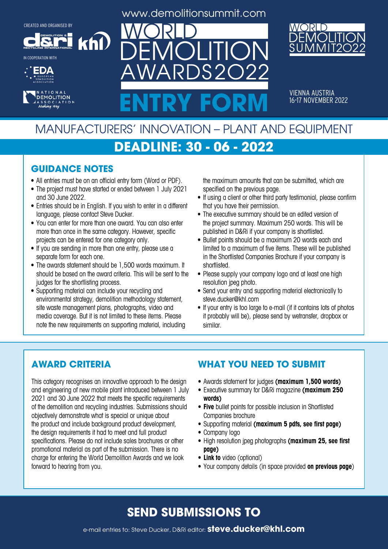**DEMOLITION &**

khl

**RECYCLING INTERNATIONAL**

IN COOPERATION WITH





www.demolitionsummit.com

 $S2$ 



VIENNA AUSTRIA<br>16-17 NOVEMBER 2022 ENTRY FORM **16-17 NOVEMBER 2022** 

# MANUFACTURERS' INNOVATION – PLANT AND EQUIPMENT

### **DEADLINE: 30 - 06 - 2022**

#### **GUIDANCE NOTES**

- All entries must be on an official entry form (Word or PDF).
- The project must have started or ended between 1 July 2021 and 30 June 2022.
- Entries should be in English. If you wish to enter in a different language, please contact Steve Ducker.
- You can enter for more than one award. You can also enter more than once in the same category. However, specific projects can be entered for one category only.
- If you are sending in more than one entry, please use a separate form for each one.
- The awards statement should be 1,500 words maximum. It should be based on the award criteria. This will be sent to the judges for the shortlisting process.
- Supporting material can include your recycling and environmental strategy, demolition methodology statement, site waste management plans, photographs, video and media coverage. But it is not limited to these items. Please note the new requirements on supporting material, including

the maximum amounts that can be submitted, which are specified on the previous page.

- If using a client or other third party testimonial, please confirm that you have their permission.
- The executive summary should be an edited version of the project summary. Maximum 250 words. This will be published in D&Ri if your company is shortlisted.
- Bullet points should be a maximum 20 words each and limited to a maximum of five items. These will be published in the Shortlisted Companies Brochure if your company is shortlisted.
- Please supply your company logo and at least one high resolution jpeg photo.
- Send your entry and supporting material electronically to steve.ducker@khl.com
- If your entry is too large to e-mail (if it contains lots of photos it probably will be), please send by wetransfer, dropbox or similar.

#### **AWARD CRITERIA**

This category recognises an innovative approach to the design and engineering of new mobile plant introduced between 1 July 2021 and 30 June 2022 that meets the specific requirements of the demolition and recycling industries. Submissions should objectively demonstrate what is special or unique about the product and include background product development, the design requirements it had to meet and full product specifications. Please do not include sales brochures or other promotional material as part of the submission. There is no charge for entering the World Demolition Awards and we look forward to hearing from you.

#### **WHAT YOU NEED TO SUBMIT**

- • Awards statement for judges **(maximum 1,500 words)**
- • Executive summary for D&Ri magazine **(maximum 250 words)**
- **• Five** bullet points for possible inclusion in Shortlisted Companies brochure
- • Supporting material **(maximum 5 pdfs, see first page)**
- Company logo
- • High resolution jpeg photographs **(maximum 25, see first page)**
- **• Link to** video (optional)
- • Your company details (in space provided **on previous page**)

# **SEND SUBMISSIONS TO**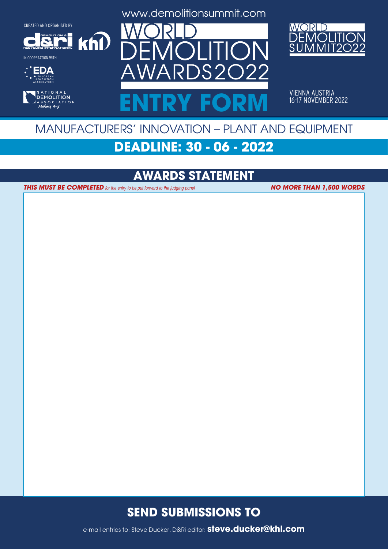**DEMOLITION &**

 $k$ h $\Omega$ 

**RECYCLING INTERNATIONAL**

IN COOPERATION WITH









VIENNA AUSTRIA<br>16-17 NOVEMBER 2022 ENTRY FORM **16-17 NOVEMBER 2022** 

# MANUFACTURERS' INNOVATION – PLANT AND EQUIPMENT

# **DEADLINE: 30 - 06 - 2022**

# **AWARDS STATEMENT**

**THIS MUST BE COMPLETED** for the entry to be put forward to the judging panel

**NO MORE THAN 1,500 WORDS**

#### **SEND SUBMISSIONS TO**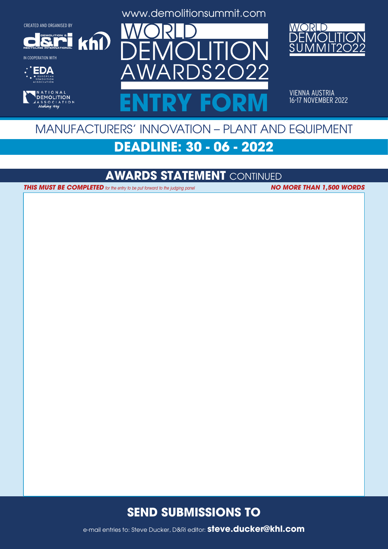**DEMOLITION &**

 $k$ h $\Omega$ 

**RECYCLING INTERNATIONAL**

IN COOPERATION WITH









VIENNA AUSTRIA<br>16-17 NOVEMBER 2022 ENTRY FORM **16-17 NOVEMBER 2022** 

# MANUFACTURERS' INNOVATION – PLANT AND EQUIPMENT

# **DEADLINE: 30 - 06 - 2022**

#### **AWARDS STATEMENT** CONTINUED

**THIS MUST BE COMPLETED** for the entry to be put forward to the judging panel **NO MORE THAN 1,500 WORDS** 

#### **SEND SUBMISSIONS TO**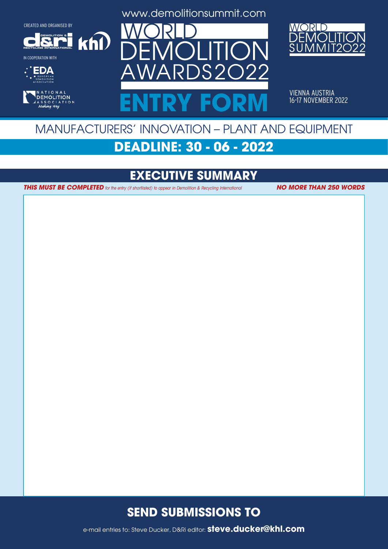**DEMOLITION &**

 $k$ h $\Omega$ 

**RECYCLING INTERNATIONAL**

IN COOPERATION WITH









VIENNA AUSTRIA<br>16-17 NOVEMBER 2022 ENTRY FORM **16-17 NOVEMBER 2022** 

# MANUFACTURERS' INNOVATION – PLANT AND EQUIPMENT **DEADLINE: 30 - 06 - 2022**

**EXECUTIVE SUMMARY**

**THIS MUST BE COMPLETED** for the entry (if shortlisted) to appear in Demolition & Recycling International **NO MORE THAN 250 WORDS** 

#### **SEND SUBMISSIONS TO**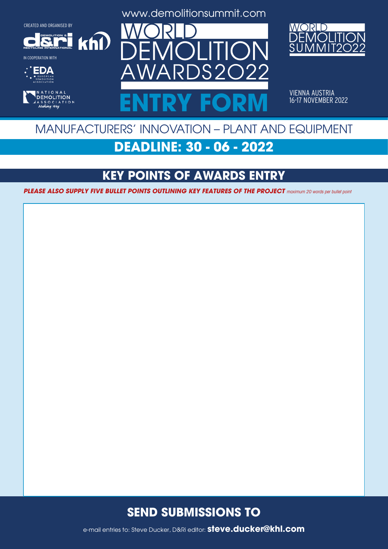**DEMOLITION &**

 $k$ h $\Omega$ 

**RECYCLING INTERNATIONAL**

IN COOPERATION WITH









VIENNA AUSTRIA<br>16-17 NOVEMBER 2022 ENTRY FORM **16-17 NOVEMBER 2022** 

# MANUFACTURERS' INNOVATION – PLANT AND EQUIPMENT

# **DEADLINE: 30 - 06 - 2022**

# **KEY POINTS OF AWARDS ENTRY**

**PLEASE ALSO SUPPLY FIVE BULLET POINTS OUTLINING KEY FEATURES OF THE PROJECT** maximum 20 words per bullet point

#### **SEND SUBMISSIONS TO**